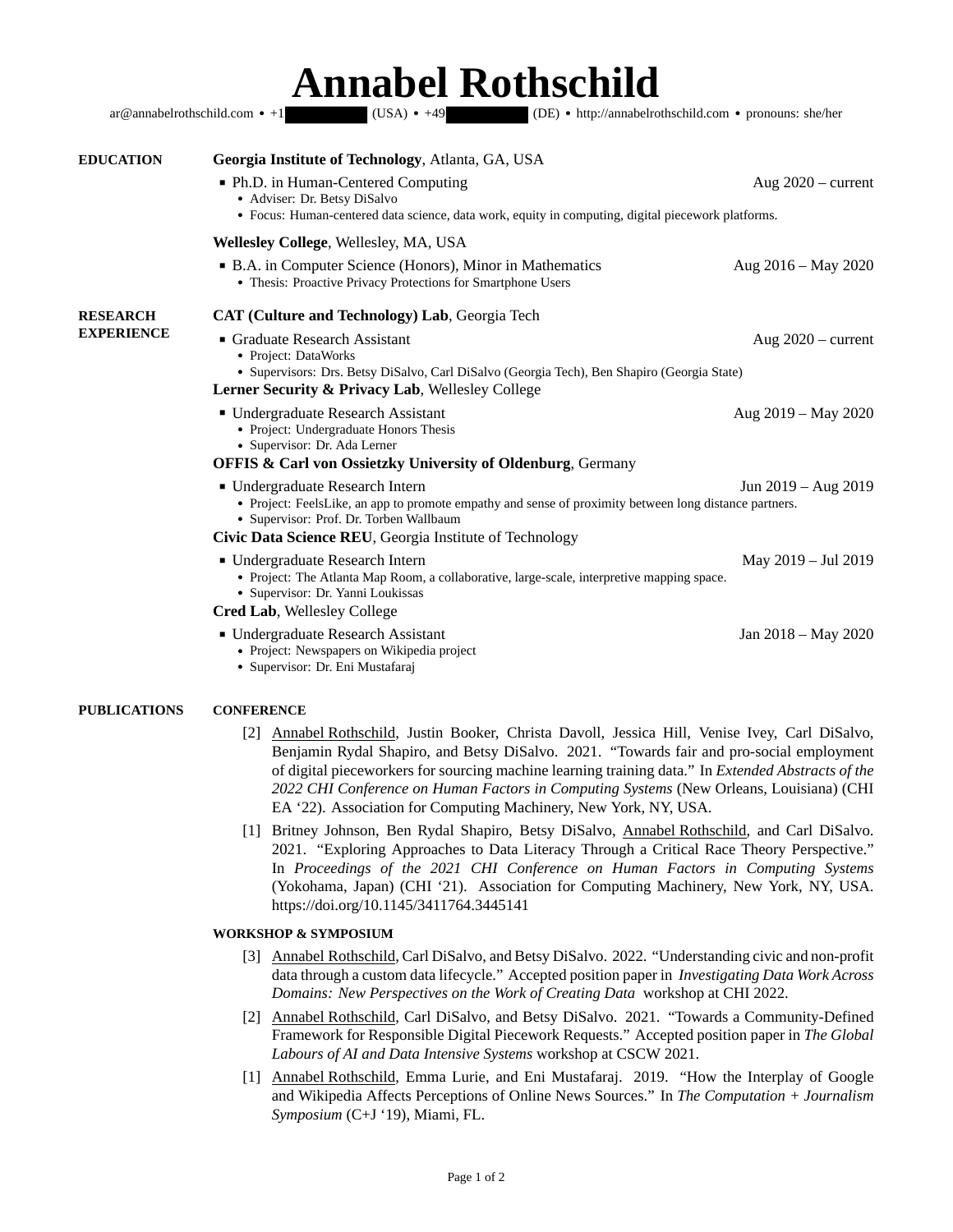## **Annabel Rothschild**

|                                      | $(USA) \cdot +49$<br>ar@annabelrothschild.com • +1<br>(DE) • http://annabelrothschild.com • pronouns: she/her                                                                                                                                          |                      |
|--------------------------------------|--------------------------------------------------------------------------------------------------------------------------------------------------------------------------------------------------------------------------------------------------------|----------------------|
| <b>EDUCATION</b>                     | Georgia Institute of Technology, Atlanta, GA, USA                                                                                                                                                                                                      |                      |
|                                      | • Ph.D. in Human-Centered Computing<br>• Adviser: Dr. Betsy DiSalvo<br>• Focus: Human-centered data science, data work, equity in computing, digital piecework platforms.                                                                              | Aug $2020$ – current |
|                                      | Wellesley College, Wellesley, MA, USA                                                                                                                                                                                                                  |                      |
|                                      | • B.A. in Computer Science (Honors), Minor in Mathematics<br>• Thesis: Proactive Privacy Protections for Smartphone Users                                                                                                                              | Aug 2016 – May 2020  |
| <b>RESEARCH</b><br><b>EXPERIENCE</b> | <b>CAT (Culture and Technology) Lab, Georgia Tech</b>                                                                                                                                                                                                  |                      |
|                                      | Graduate Research Assistant<br>• Project: DataWorks<br>· Supervisors: Drs. Betsy DiSalvo, Carl DiSalvo (Georgia Tech), Ben Shapiro (Georgia State)                                                                                                     | Aug $2020$ – current |
|                                      | <b>Lerner Security &amp; Privacy Lab, Wellesley College</b><br>■ Undergraduate Research Assistant<br>• Project: Undergraduate Honors Thesis<br>• Supervisor: Dr. Ada Lerner<br><b>OFFIS &amp; Carl von Ossietzky University of Oldenburg</b> , Germany | Aug 2019 – May 2020  |
|                                      | ■ Undergraduate Research Intern<br>• Project: FeelsLike, an app to promote empathy and sense of proximity between long distance partners.<br>• Supervisor: Prof. Dr. Torben Wallbaum<br>Civic Data Science REU, Georgia Institute of Technology        | Jun 2019 – Aug 2019  |
|                                      | ■ Undergraduate Research Intern<br>• Project: The Atlanta Map Room, a collaborative, large-scale, interpretive mapping space.<br>• Supervisor: Dr. Yanni Loukissas                                                                                     | May 2019 - Jul 2019  |
|                                      | <b>Cred Lab, Wellesley College</b><br>■ Undergraduate Research Assistant<br>• Project: Newspapers on Wikipedia project<br>• Supervisor: Dr. Eni Mustafaraj                                                                                             | Jan 2018 - May 2020  |

## **PUBLICATIONS CONFERENCE**

- [2] Annabel Rothschild, Justin Booker, Christa Davoll, Jessica Hill, Venise Ivey, Carl DiSalvo, Benjamin Rydal Shapiro, and Betsy DiSalvo. 2021. "Towards fair and pro-social employment of digital pieceworkers for sourcing machine learning training data." In *Extended Abstracts of the 2022 CHI Conference on Human Factors in Computing Systems* (New Orleans, Louisiana) (CHI EA '22). Association for Computing Machinery, New York, NY, USA.
- [1] Britney Johnson, Ben Rydal Shapiro, Betsy DiSalvo, Annabel Rothschild, and Carl DiSalvo. 2021. "Exploring Approaches to Data Literacy Through a Critical Race Theory Perspective." In *Proceedings of the 2021 CHI Conference on Human Factors in Computing Systems* (Yokohama, Japan) (CHI '21). Association for Computing Machinery, New York, NY, USA. https://doi.org/10.1145/3411764.3445141

## **WORKSHOP & SYMPOSIUM**

- [3] Annabel Rothschild, Carl DiSalvo, and Betsy DiSalvo. 2022. "Understanding civic and non-profit data through a custom data lifecycle." Accepted position paper in *Investigating Data Work Across Domains: New Perspectives on the Work of Creating Data* workshop at CHI 2022.
- [2] Annabel Rothschild, Carl DiSalvo, and Betsy DiSalvo. 2021. "Towards a Community-Defined Framework for Responsible Digital Piecework Requests." Accepted position paper in *The Global Labours of AI and Data Intensive Systems* workshop at CSCW 2021.
- [1] Annabel Rothschild, Emma Lurie, and Eni Mustafaraj. 2019. "How the Interplay of Google and Wikipedia Affects Perceptions of Online News Sources." In *The Computation + Journalism Symposium* (C+J '19), Miami, FL.